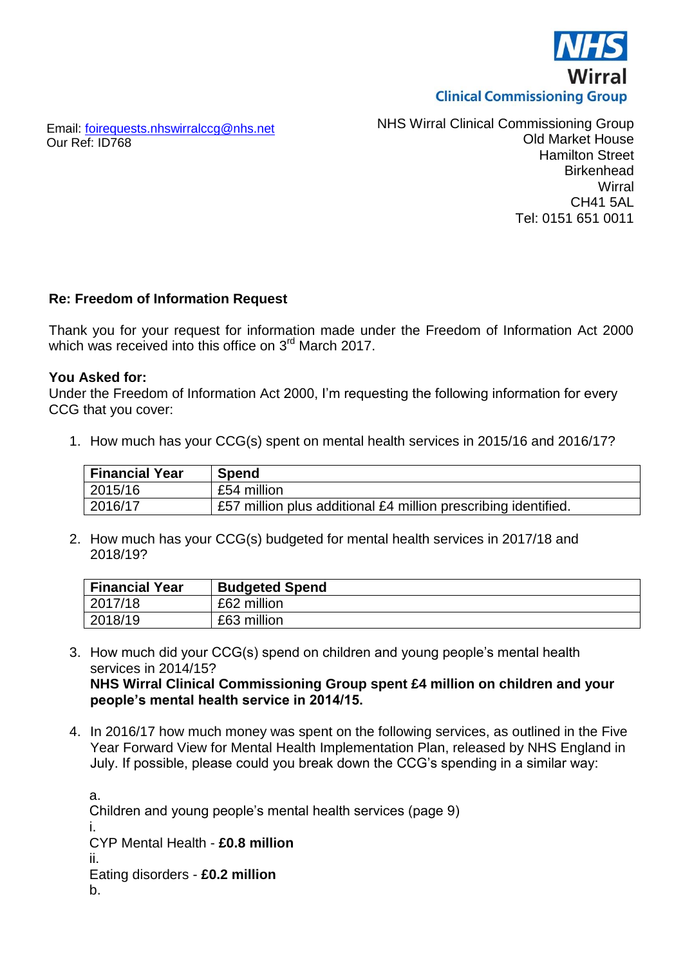

Email: [foirequests.nhswirralccg@nhs.net](mailto:foirequests.nhswirralccg@nhs.net) Our Ref: ID768

NHS Wirral Clinical Commissioning Group Old Market House Hamilton Street **Birkenhead Wirral** CH41 5AL Tel: 0151 651 0011

## **Re: Freedom of Information Request**

Thank you for your request for information made under the Freedom of Information Act 2000 which was received into this office on 3<sup>rd</sup> March 2017.

## **You Asked for:**

Under the Freedom of Information Act 2000, I'm requesting the following information for every CCG that you cover:

1. How much has your CCG(s) spent on mental health services in 2015/16 and 2016/17?

| <b>Financial Year</b> | <b>Spend</b>                                                   |
|-----------------------|----------------------------------------------------------------|
| 2015/16               | £54 million                                                    |
| 2016/17               | £57 million plus additional £4 million prescribing identified. |

2. How much has your CCG(s) budgeted for mental health services in 2017/18 and 2018/19?

| Financial Year | <b>Budgeted Spend</b> |
|----------------|-----------------------|
| 2017/18        | £62 million           |
| 2018/19        | £63 million           |

- 3. How much did your CCG(s) spend on children and young people's mental health services in 2014/15? **NHS Wirral Clinical Commissioning Group spent £4 million on children and your people's mental health service in 2014/15.**
- 4. In 2016/17 how much money was spent on the following services, as outlined in the Five Year Forward View for Mental Health Implementation Plan, released by NHS England in July. If possible, please could you break down the CCG's spending in a similar way:

a. Children and young people's mental health services (page 9) i. CYP Mental Health - **£0.8 million** ii. Eating disorders - **£0.2 million** b.